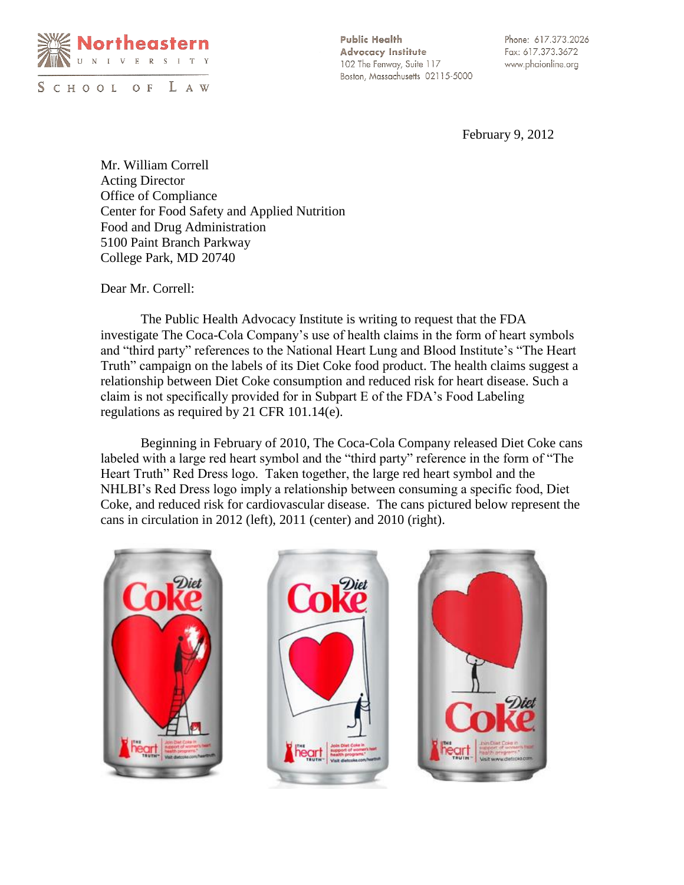

SCHOOL OF LAW

**Public Health Advocacy Institute** 102 The Fenway, Suite 117 Boston, Massachusetts 02115-5000

Phone: 617.373.2026 Fax: 617.373.3672 www.phaionline.org

February 9, 2012

Mr. William Correll Acting Director Office of Compliance Center for Food Safety and Applied Nutrition Food and Drug Administration 5100 Paint Branch Parkway College Park, MD 20740

Dear Mr. Correll:

The Public Health Advocacy Institute is writing to request that the FDA investigate The Coca-Cola Company's use of health claims in the form of heart symbols and "third party" references to the National Heart Lung and Blood Institute's "The Heart Truth" campaign on the labels of its Diet Coke food product. The health claims suggest a relationship between Diet Coke consumption and reduced risk for heart disease. Such a claim is not specifically provided for in Subpart E of the FDA's Food Labeling regulations as required by 21 CFR 101.14(e).

Beginning in February of 2010, The Coca-Cola Company released Diet Coke cans labeled with a large red heart symbol and the "third party" reference in the form of "The Heart Truth" Red Dress logo. Taken together, the large red heart symbol and the NHLBI's Red Dress logo imply a relationship between consuming a specific food, Diet Coke, and reduced risk for cardiovascular disease. The cans pictured below represent the cans in circulation in 2012 (left), 2011 (center) and 2010 (right).